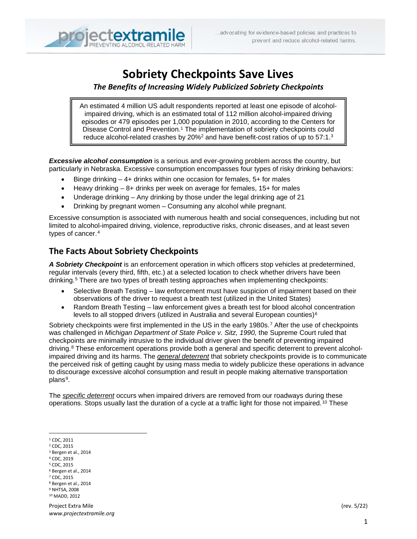

# **Sobriety Checkpoints Save Lives**

*The Benefits of Increasing Widely Publicized Sobriety Checkpoints*

An estimated 4 million US adult respondents reported at least one episode of alcoholimpaired driving, which is an estimated total of 112 million alcohol-impaired driving episodes or 479 episodes per 1,000 population in 2010, according to the Centers for Disease Control and Prevention. <sup>1</sup> The implementation of sobriety checkpoints could reduce alcohol-related crashes by 20%<sup>2</sup> and have benefit-cost ratios of up to 57:1.<sup>3</sup>

*Excessive alcohol consumption* is a serious and ever-growing problem across the country, but particularly in Nebraska. Excessive consumption encompasses four types of risky drinking behaviors:

- Binge drinking  $-4+$  drinks within one occasion for females,  $5+$  for males
- Heavy drinking 8+ drinks per week on average for females, 15+ for males
- Underage drinking Any drinking by those under the legal drinking age of 21
- Drinking by pregnant women Consuming any alcohol while pregnant.

Excessive consumption is associated with numerous health and social consequences, including but not limited to alcohol-impaired driving, violence, reproductive risks, chronic diseases, and at least seven types of cancer.[4](#page-0-0)

### **The Facts About Sobriety Checkpoints**

*A Sobriety Checkpoint* is an enforcement operation in which officers stop vehicles at predetermined, regular intervals (every third, fifth, etc.) at a selected location to check whether drivers have been drinking.[5](#page-0-1) There are two types of breath testing approaches when implementing checkpoints:

- Selective Breath Testing law enforcement must have suspicion of impairment based on their observations of the driver to request a breath test (utilized in the United States)
- Random Breath Testing law enforcement gives a breath test for blood alcohol concentration levels to all stopped drivers (utilized in Australia and several European counties)<sup>[6](#page-0-2)</sup>

Sobriety checkpoints were first implemented in the US in the early 1980s.<sup>[7](#page-0-3)</sup> After the use of checkpoints was challenged in *Michigan Department of State Police v. Sitz, 1990,* the Supreme Court ruled that checkpoints are minimally intrusive to the individual driver given the benefit of preventing impaired driving.<sup>[8](#page-0-4)</sup> These enforcement operations provide both a general and specific deterrent to prevent alcoholimpaired driving and its harms. The *general deterrent* that sobriety checkpoints provide is to communicate the perceived risk of getting caught by using mass media to widely publicize these operations in advance to discourage excessive alcohol consumption and result in people making alternative transportation plans<sup>9</sup>.

The *specific deterrent* occurs when impaired drivers are removed from our roadways during these operations. Stops usually last the duration of a cycle at a traffic light for those not impaired.[10](#page-0-6) These

<span id="page-0-0"></span><sup>1</sup> CDC, 2011

- <sup>2</sup> CDC, 2015
- <sup>3</sup> Bergen et al., 2014
- <sup>4</sup> CDC, 2019
- <span id="page-0-1"></span><sup>5</sup> CDC, 2015
- <span id="page-0-2"></span><sup>6</sup> Bergen et al., 2014
- <span id="page-0-3"></span><sup>7</sup> CDC, 2015
- <span id="page-0-5"></span><span id="page-0-4"></span><sup>8</sup> Bergen et al., 2014 <sup>9</sup> NHTSA, 2008
- <span id="page-0-6"></span><sup>10</sup> MADD, 2012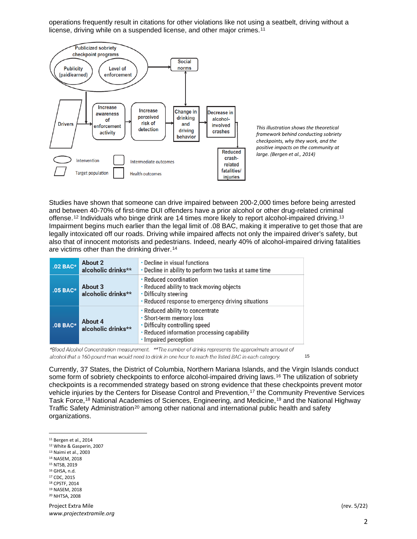operations frequently result in citations for other violations like not using a seatbelt, driving without a license, driving while on a suspended license, and other major crimes.<sup>[11](#page-1-0)</sup>



Studies have shown that someone can drive impaired between 200-2,000 times before being arrested and between 40-70% of first-time DUI offenders have a prior alcohol or other drug-related criminal offense.[12](#page-1-1) Individuals who binge drink are 14 times more likely to report alcohol-impaired driving.[13](#page-1-2) Impairment begins much earlier than the legal limit of .08 BAC, making it imperative to get those that are legally intoxicated off our roads. Driving while impaired affects not only the impaired driver's safety, but also that of innocent motorists and pedestrians. Indeed, nearly 40% of alcohol-impaired driving fatalities are victims other than the drinking driver.<sup>[14](#page-1-3)</sup>

| $.02$ BAC* | About 2<br>alcoholic drinks** | • Decline in visual functions<br>. Decline in ability to perform two tasks at same time                                                                                |
|------------|-------------------------------|------------------------------------------------------------------------------------------------------------------------------------------------------------------------|
| .05 BAC*   | About 3<br>alcoholic drinks** | • Reduced coordination<br>• Reduced ability to track moving objects<br>• Difficulty steering<br>• Reduced response to emergency driving situations                     |
| $.08$ BAC* | About 4<br>alcoholic drinks** | • Reduced ability to concentrate<br>• Short-term memory loss<br>• Difficulty controlling speed<br>• Reduced information processing capability<br>• Impaired perception |

\*Blood Alcohol Concentration measurement. \*\*The number of drinks represents the approximate amount of alcohol that a 160-pound man would need to drink in one hour to reach the listed BAC in each category. [15](#page-1-4)

Currently, 37 States, the District of Columbia, Northern Mariana Islands, and the Virgin Islands conduct some form of sobriety checkpoints to enforce alcohol-impaired driving laws.<sup>[16](#page-1-5)</sup> The utilization of sobriety checkpoints is a recommended strategy based on strong evidence that these checkpoints prevent motor vehicle injuries by the Centers for Disease Control and Prevention,<sup>[17](#page-1-6)</sup> the Community Preventive Services Task Force,[18](#page-1-7) National Academies of Sciences, Engineering, and Medicine,[19](#page-1-8) and the National Highway Traffic Safety Administration<sup>[20](#page-1-9)</sup> among other national and international public health and safety organizations.

- <span id="page-1-2"></span><sup>13</sup> Naimi et al., 2003
- <span id="page-1-3"></span><sup>14</sup> NASEM, 2018
- <span id="page-1-4"></span><sup>15</sup> NTSB, 2019
- <span id="page-1-5"></span><sup>16</sup> GHSA, n.d.
- <span id="page-1-6"></span><sup>17</sup> CDC, 2015 <sup>18</sup> CPSTF, 2014
- <span id="page-1-8"></span><span id="page-1-7"></span><sup>19</sup> NASEM, 2018
- <span id="page-1-9"></span><sup>20</sup> NHTSA, 2008

<span id="page-1-0"></span><sup>11</sup> Bergen et al., 2014

<span id="page-1-1"></span><sup>12</sup> White & Gasperin, 2007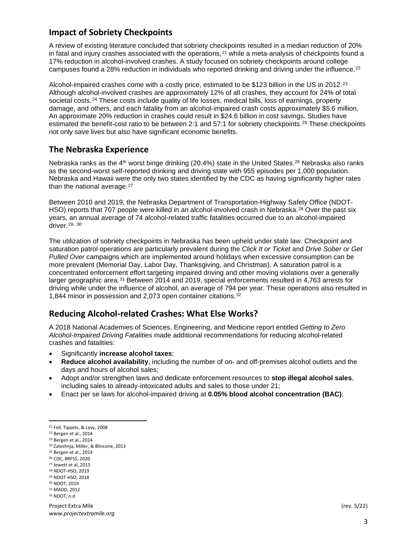## **Impact of Sobriety Checkpoints**

A review of existing literature concluded that sobriety checkpoints resulted in a median reduction of 20% in fatal and injury crashes associated with the operations, $21$  while a meta-analysis of checkpoints found a 17% reduction in alcohol-involved crashes. A study focused on sobriety checkpoints around college campuses found a 28% reduction in individuals who reported drinking and driving under the influence.<sup>[22](#page-2-1)</sup>

Alcohol-impaired crashes come with a costly price, estimated to be \$1[23](#page-2-2) billion in the US in 2012.<sup>23</sup> Although alcohol-involved crashes are approximately 12% of all crashes, they account for 24% of total societal costs.<sup>[24](#page-2-3)</sup> These costs include quality of life losses, medical bills, loss of earnings, property damage, and others, and each fatality from an alcohol-impaired crash costs approximately \$5.6 million. An approximate 20% reduction in crashes could result in \$24.6 billion in cost savings. Studies have estimated the benefit-cost ratio to be between 2:1 and 57:1 for sobriety checkpoints.[25](#page-2-4) These checkpoints not only save lives but also have significant economic benefits.

### **The Nebraska Experience**

Nebraska ranks as the  $4<sup>th</sup>$  worst binge drinking (20.4%) state in the United States.<sup>[26](#page-2-5)</sup> Nebraska also ranks as the second-worst self-reported drinking and driving state with 955 episodes per 1,000 population. Nebraska and Hawaii were the only two states identified by the CDC as having significantly higher rates than the national average.<sup>[27](#page-2-6)</sup>

Between 2010 and 2019, the Nebraska Department of Transportation-Highway Safety Office (NDOT-HSO) reports that 707 people were killed in an alcohol-involved crash in Nebraska.<sup>[28](#page-2-7)</sup> Over the past six years, an annual average of 74 alcohol-related traffic fatalities occurred due to an alcohol-impaired driver.[29,](#page-2-8) [30](#page-2-9)

The utilization of sobriety checkpoints in Nebraska has been upheld under state law. Checkpoint and saturation patrol operations are particularly prevalent during the *Click It or Ticket* and *Drive Sober or Get Pulled Over* campaigns which are implemented around holidays when excessive consumption can be more prevalent (Memorial Day, Labor Day, Thanksgiving, and Christmas). A saturation patrol is a concentrated enforcement effort targeting impaired driving and other moving violations over a generally larger geographic area.<sup>[31](#page-2-10)</sup> Between 2014 and 2019, special enforcements resulted in 4,763 arrests for driving while under the influence of alcohol, an average of 794 per year. These operations also resulted in 1,844 minor in possession and 2,073 open container citations.[32](#page-2-11)

# **Reducing Alcohol-related Crashes: What Else Works?**

A 2018 National Academies of Sciences, Engineering, and Medicine report entitled *Getting to Zero Alcohol-Impaired Driving Fatalities* made additional recommendations for reducing alcohol-related crashes and fatalities:

- Significantly **increase alcohol taxes**;
- **Reduce alcohol availability**, including the number of on- and off-premises alcohol outlets and the days and hours of alcohol sales;
- Adopt and/or strengthen laws and dedicate enforcement resources to **stop illegal alcohol sales**, including sales to already-intoxicated adults and sales to those under 21;
- Enact per se laws for alcohol-impaired driving at **0.05% blood alcohol concentration (BAC)**;

- <span id="page-2-5"></span><span id="page-2-4"></span><sup>26</sup> CDC, BRFSS, 2020
- <span id="page-2-6"></span><sup>27</sup> Jewett et al, 2015
- <span id="page-2-7"></span><sup>28</sup> NDOT-HSO, 2019
- <span id="page-2-8"></span><sup>29</sup> NDOT-HSO, 2018
- <span id="page-2-9"></span><sup>30</sup> NDOT, 2019
- <span id="page-2-11"></span><span id="page-2-10"></span><sup>31</sup> MADD, 2012 <sup>32</sup> NDOT, n.d

Project Extra Mile (rev. 5/22) *www.projectextramile.org*

<span id="page-2-0"></span><sup>21</sup> Fell, Tippets, & Levy, 2008

<span id="page-2-1"></span><sup>22</sup> Bergen et al., 2014

<span id="page-2-2"></span><sup>23</sup> Bergen et al., 2014

<span id="page-2-3"></span><sup>24</sup> Zaloshnja, Miller, & Blincone, 2013 <sup>25</sup> Bergen et al., 2014